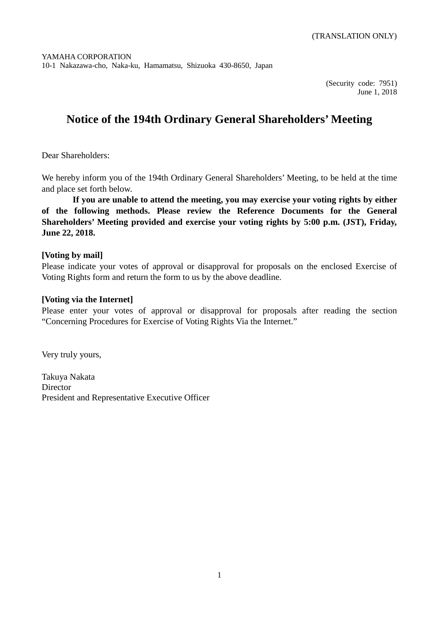(Security code: 7951) June 1, 2018

# **Notice of the 194th Ordinary General Shareholders' Meeting**

Dear Shareholders:

We hereby inform you of the 194th Ordinary General Shareholders' Meeting, to be held at the time and place set forth below.

**If you are unable to attend the meeting, you may exercise your voting rights by either of the following methods. Please review the Reference Documents for the General Shareholders' Meeting provided and exercise your voting rights by 5:00 p.m. (JST), Friday, June 22, 2018.**

### **[Voting by mail]**

Please indicate your votes of approval or disapproval for proposals on the enclosed Exercise of Voting Rights form and return the form to us by the above deadline.

### **[Voting via the Internet]**

Please enter your votes of approval or disapproval for proposals after reading the section "Concerning Procedures for Exercise of Voting Rights Via the Internet."

Very truly yours,

Takuya Nakata Director President and Representative Executive Officer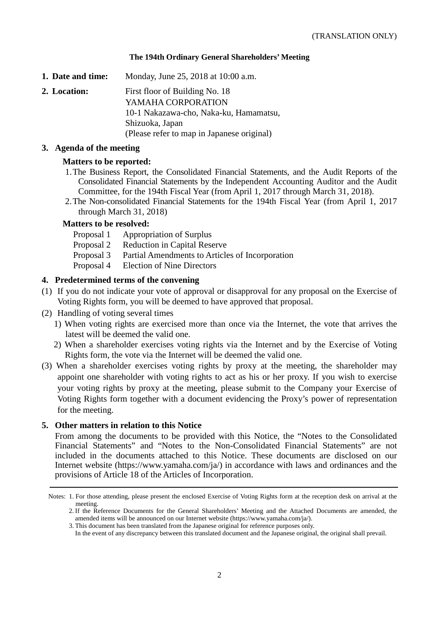### **The 194th Ordinary General Shareholders' Meeting**

**1. Date and time:** Monday, June 25, 2018 at 10:00 a.m.

**2. Location:** First floor of Building No. 18 YAMAHA CORPORATION 10-1 Nakazawa-cho, Naka-ku, Hamamatsu, Shizuoka, Japan (Please refer to map in Japanese original)

### **3. Agenda of the meeting**

### **Matters to be reported:**

- 1.The Business Report, the Consolidated Financial Statements, and the Audit Reports of the Consolidated Financial Statements by the Independent Accounting Auditor and the Audit Committee, for the 194th Fiscal Year (from April 1, 2017 through March 31, 2018).
- 2.The Non-consolidated Financial Statements for the 194th Fiscal Year (from April 1, 2017 through March 31, 2018)

### **Matters to be resolved:**

- Proposal 1 Appropriation of Surplus
- Proposal 2 Reduction in Capital Reserve
- Proposal 3 Partial Amendments to Articles of Incorporation
- Proposal 4 Election of Nine Directors

### **4. Predetermined terms of the convening**

- (1) If you do not indicate your vote of approval or disapproval for any proposal on the Exercise of Voting Rights form, you will be deemed to have approved that proposal.
- (2) Handling of voting several times
	- 1) When voting rights are exercised more than once via the Internet, the vote that arrives the latest will be deemed the valid one.
	- 2) When a shareholder exercises voting rights via the Internet and by the Exercise of Voting Rights form, the vote via the Internet will be deemed the valid one.
- (3) When a shareholder exercises voting rights by proxy at the meeting, the shareholder may appoint one shareholder with voting rights to act as his or her proxy. If you wish to exercise your voting rights by proxy at the meeting, please submit to the Company your Exercise of Voting Rights form together with a document evidencing the Proxy's power of representation for the meeting.

#### **5. Other matters in relation to this Notice**

From among the documents to be provided with this Notice, the "Notes to the Consolidated Financial Statements" and "Notes to the Non-Consolidated Financial Statements" are not included in the documents attached to this Notice. These documents are disclosed on our Internet website (https://www.yamaha.com/ja/) in accordance with laws and ordinances and the provisions of Article 18 of the Articles of Incorporation.

Notes: 1. For those attending, please present the enclosed Exercise of Voting Rights form at the reception desk on arrival at the meeting.

<sup>2.</sup> If the Reference Documents for the General Shareholders' Meeting and the Attached Documents are amended, the amended items will be announced on our Internet website (https://www.yamaha.com/ja/).

<sup>3.</sup> This document has been translated from the Japanese original for reference purposes only.

In the event of any discrepancy between this translated document and the Japanese original, the original shall prevail.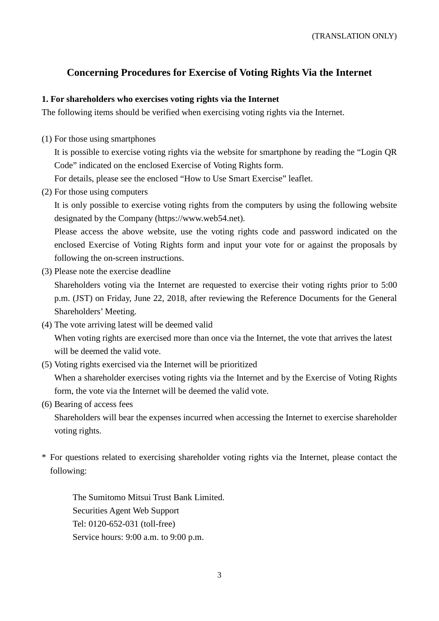### **Concerning Procedures for Exercise of Voting Rights Via the Internet**

### **1. For shareholders who exercises voting rights via the Internet**

The following items should be verified when exercising voting rights via the Internet.

(1) For those using smartphones

It is possible to exercise voting rights via the website for smartphone by reading the "Login QR Code" indicated on the enclosed Exercise of Voting Rights form.

For details, please see the enclosed "How to Use Smart Exercise" leaflet.

(2) For those using computers

It is only possible to exercise voting rights from the computers by using the following website designated by the Company (https://www.web54.net).

Please access the above website, use the voting rights code and password indicated on the enclosed Exercise of Voting Rights form and input your vote for or against the proposals by following the on-screen instructions.

(3) Please note the exercise deadline

Shareholders voting via the Internet are requested to exercise their voting rights prior to 5:00 p.m. (JST) on Friday, June 22, 2018, after reviewing the Reference Documents for the General Shareholders' Meeting.

- (4) The vote arriving latest will be deemed valid When voting rights are exercised more than once via the Internet, the vote that arrives the latest will be deemed the valid vote.
- (5) Voting rights exercised via the Internet will be prioritized When a shareholder exercises voting rights via the Internet and by the Exercise of Voting Rights form, the vote via the Internet will be deemed the valid vote.
- (6) Bearing of access fees

Shareholders will bear the expenses incurred when accessing the Internet to exercise shareholder voting rights.

\* For questions related to exercising shareholder voting rights via the Internet, please contact the following:

The Sumitomo Mitsui Trust Bank Limited. Securities Agent Web Support Tel: 0120-652-031 (toll-free) Service hours: 9:00 a.m. to 9:00 p.m.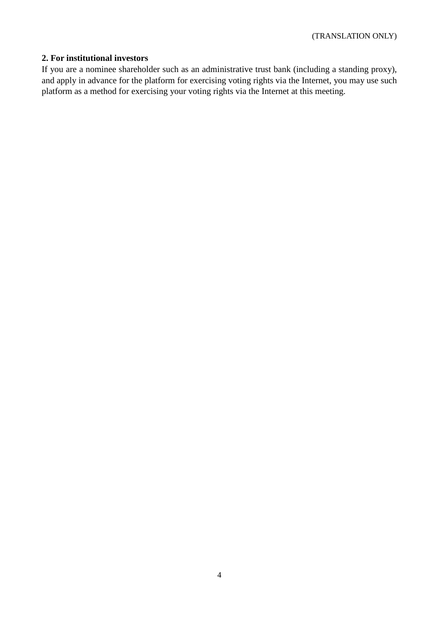### **2. For institutional investors**

If you are a nominee shareholder such as an administrative trust bank (including a standing proxy), and apply in advance for the platform for exercising voting rights via the Internet, you may use such platform as a method for exercising your voting rights via the Internet at this meeting.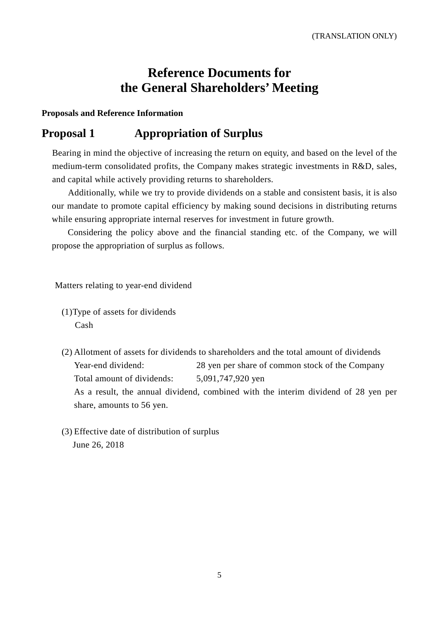# **Reference Documents for the General Shareholders' Meeting**

**Proposals and Reference Information**

## **Proposal 1 Appropriation of Surplus**

Bearing in mind the objective of increasing the return on equity, and based on the level of the medium-term consolidated profits, the Company makes strategic investments in R&D, sales, and capital while actively providing returns to shareholders.

Additionally, while we try to provide dividends on a stable and consistent basis, it is also our mandate to promote capital efficiency by making sound decisions in distributing returns while ensuring appropriate internal reserves for investment in future growth.

Considering the policy above and the financial standing etc. of the Company, we will propose the appropriation of surplus as follows.

Matters relating to year-end dividend

- (1)Type of assets for dividends Cash
- (2) Allotment of assets for dividends to shareholders and the total amount of dividends Year-end dividend: 28 yen per share of common stock of the Company Total amount of dividends: 5,091,747,920 yen As a result, the annual dividend, combined with the interim dividend of 28 yen per share, amounts to 56 yen.
- (3) Effective date of distribution of surplus June 26, 2018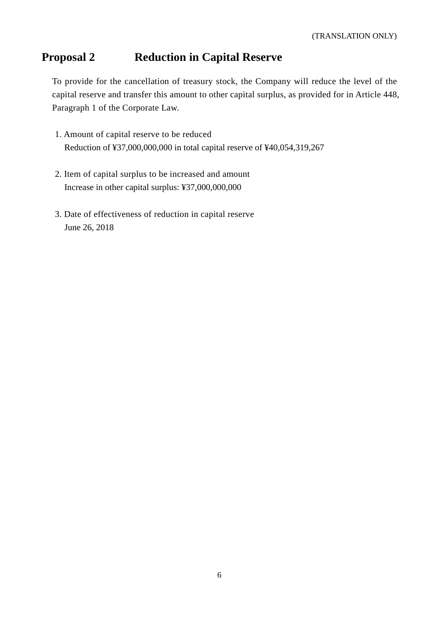# **Proposal 2 Reduction in Capital Reserve**

To provide for the cancellation of treasury stock, the Company will reduce the level of the capital reserve and transfer this amount to other capital surplus, as provided for in Article 448, Paragraph 1 of the Corporate Law.

- 1. Amount of capital reserve to be reduced Reduction of ¥37,000,000,000 in total capital reserve of ¥40,054,319,267
- 2. Item of capital surplus to be increased and amount Increase in other capital surplus: ¥37,000,000,000
- 3. Date of effectiveness of reduction in capital reserve June 26, 2018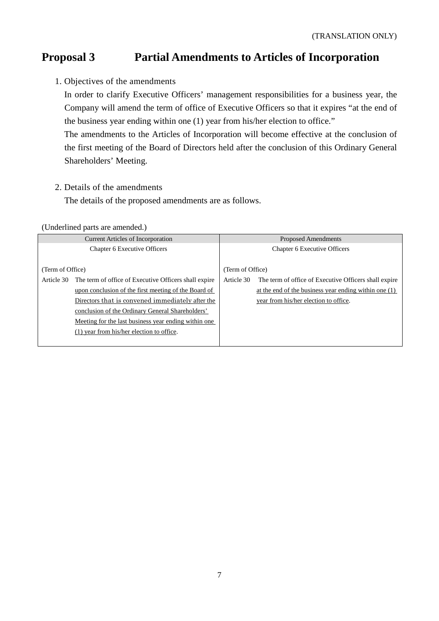# **Proposal 3 Partial Amendments to Articles of Incorporation**

1. Objectives of the amendments

In order to clarify Executive Officers' management responsibilities for a business year, the Company will amend the term of office of Executive Officers so that it expires "at the end of the business year ending within one (1) year from his/her election to office."

The amendments to the Articles of Incorporation will become effective at the conclusion of the first meeting of the Board of Directors held after the conclusion of this Ordinary General Shareholders' Meeting.

2. Details of the amendments

The details of the proposed amendments are as follows.

### (Underlined parts are amended.)

|                  | <b>Current Articles of Incorporation</b>              |                                     | Proposed Amendments                                   |  |
|------------------|-------------------------------------------------------|-------------------------------------|-------------------------------------------------------|--|
|                  | <b>Chapter 6 Executive Officers</b>                   | <b>Chapter 6 Executive Officers</b> |                                                       |  |
|                  |                                                       |                                     |                                                       |  |
| (Term of Office) |                                                       | (Term of Office)                    |                                                       |  |
| Article 30       | The term of office of Executive Officers shall expire | Article 30                          | The term of office of Executive Officers shall expire |  |
|                  | upon conclusion of the first meeting of the Board of  |                                     | at the end of the business year ending within one (1) |  |
|                  | Directors that is convened immediately after the      |                                     | year from his/her election to office.                 |  |
|                  | conclusion of the Ordinary General Shareholders'      |                                     |                                                       |  |
|                  | Meeting for the last business year ending within one. |                                     |                                                       |  |
|                  | (1) year from his/her election to office.             |                                     |                                                       |  |
|                  |                                                       |                                     |                                                       |  |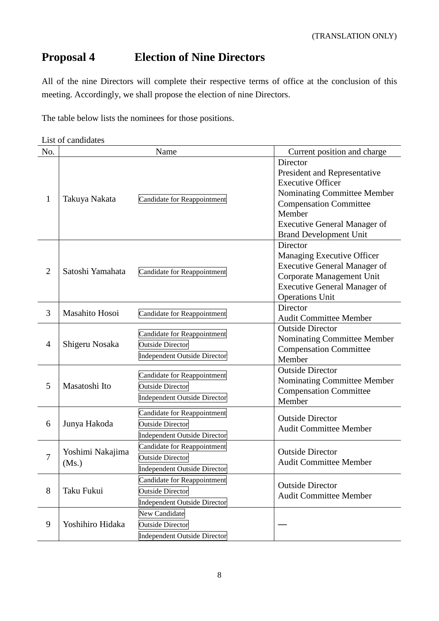# **Proposal 4 Election of Nine Directors**

All of the nine Directors will complete their respective terms of office at the conclusion of this meeting. Accordingly, we shall propose the election of nine Directors.

The table below lists the nominees for those positions.

| No.              |                           | Name                                                                                          | Current position and charge                                                                                                                                                                                            |
|------------------|---------------------------|-----------------------------------------------------------------------------------------------|------------------------------------------------------------------------------------------------------------------------------------------------------------------------------------------------------------------------|
| 1                | Takuya Nakata             | Candidate for Reappointment                                                                   | Director<br>President and Representative<br><b>Executive Officer</b><br>Nominating Committee Member<br><b>Compensation Committee</b><br>Member<br><b>Executive General Manager of</b><br><b>Brand Development Unit</b> |
| $\overline{2}$   | Satoshi Yamahata          | Candidate for Reappointment                                                                   | Director<br>Managing Executive Officer<br><b>Executive General Manager of</b><br>Corporate Management Unit<br><b>Executive General Manager of</b><br><b>Operations Unit</b>                                            |
| 3                | Masahito Hosoi            | Candidate for Reappointment                                                                   | Director<br><b>Audit Committee Member</b>                                                                                                                                                                              |
| 4                | Shigeru Nosaka            | Candidate for Reappointment<br><b>Outside Director</b><br><b>Independent Outside Director</b> | <b>Outside Director</b><br>Nominating Committee Member<br><b>Compensation Committee</b><br>Member                                                                                                                      |
| 5                | Masatoshi Ito             | Candidate for Reappointment<br><b>Outside Director</b><br><b>Independent Outside Director</b> | <b>Outside Director</b><br>Nominating Committee Member<br><b>Compensation Committee</b><br>Member                                                                                                                      |
| 6                | Junya Hakoda              | Candidate for Reappointment<br>Outside Director<br>Independent Outside Director               | <b>Outside Director</b><br><b>Audit Committee Member</b>                                                                                                                                                               |
| 7                | Yoshimi Nakajima<br>(Ms.) | Candidate for Reappointment<br><b>Outside Director</b><br>Independent Outside Director        | <b>Outside Director</b><br><b>Audit Committee Member</b>                                                                                                                                                               |
| 8                | Taku Fukui                | Candidate for Reappointment<br><b>Outside Director</b><br>Independent Outside Director        | <b>Outside Director</b><br><b>Audit Committee Member</b>                                                                                                                                                               |
| $\boldsymbol{9}$ | Yoshihiro Hidaka          | New Candidate<br><b>Outside Director</b><br><b>Independent Outside Director</b>               |                                                                                                                                                                                                                        |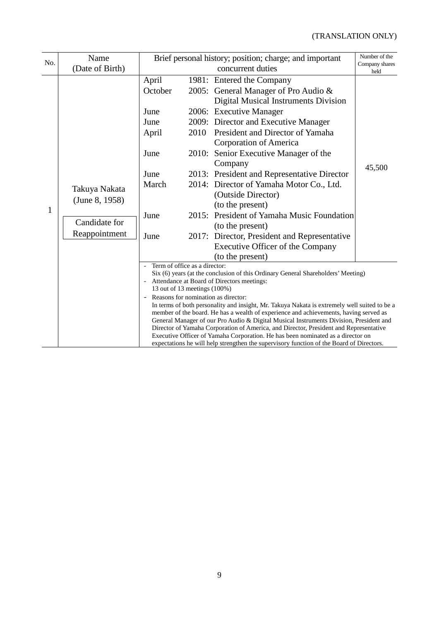| No. | Name                                                              | Brief personal history; position; charge; and important                                                                          |                        |                                                                                                                                                                                                                                                                                                                                                                                                                                                                                                                                                                                                                                                                                           | Number of the |
|-----|-------------------------------------------------------------------|----------------------------------------------------------------------------------------------------------------------------------|------------------------|-------------------------------------------------------------------------------------------------------------------------------------------------------------------------------------------------------------------------------------------------------------------------------------------------------------------------------------------------------------------------------------------------------------------------------------------------------------------------------------------------------------------------------------------------------------------------------------------------------------------------------------------------------------------------------------------|---------------|
|     | (Date of Birth)                                                   |                                                                                                                                  | Company shares<br>held |                                                                                                                                                                                                                                                                                                                                                                                                                                                                                                                                                                                                                                                                                           |               |
| 1   | Takuya Nakata<br>(June 8, 1958)<br>Candidate for<br>Reappointment | April<br>October<br>June<br>June<br>April<br>June<br>June<br>March<br>June<br>June                                               | 2010<br>2015:          | 1981: Entered the Company<br>2005: General Manager of Pro Audio &<br><b>Digital Musical Instruments Division</b><br>2006: Executive Manager<br>2009: Director and Executive Manager<br>President and Director of Yamaha<br><b>Corporation of America</b><br>2010: Senior Executive Manager of the<br>Company<br>2013: President and Representative Director<br>2014: Director of Yamaha Motor Co., Ltd.<br>(Outside Director)<br>(to the present)<br>President of Yamaha Music Foundation<br>(to the present)<br>2017: Director, President and Representative<br>Executive Officer of the Company<br>(to the present)                                                                     | 45,500        |
|     |                                                                   | Term of office as a director:<br>$\overline{\phantom{a}}$<br>13 out of 13 meetings (100%)<br>Reasons for nomination as director: |                        | Six (6) years (at the conclusion of this Ordinary General Shareholders' Meeting)<br>Attendance at Board of Directors meetings:<br>In terms of both personality and insight, Mr. Takuya Nakata is extremely well suited to be a<br>member of the board. He has a wealth of experience and achievements, having served as<br>General Manager of our Pro Audio & Digital Musical Instruments Division, President and<br>Director of Yamaha Corporation of America, and Director, President and Representative<br>Executive Officer of Yamaha Corporation. He has been nominated as a director on<br>expectations he will help strengthen the supervisory function of the Board of Directors. |               |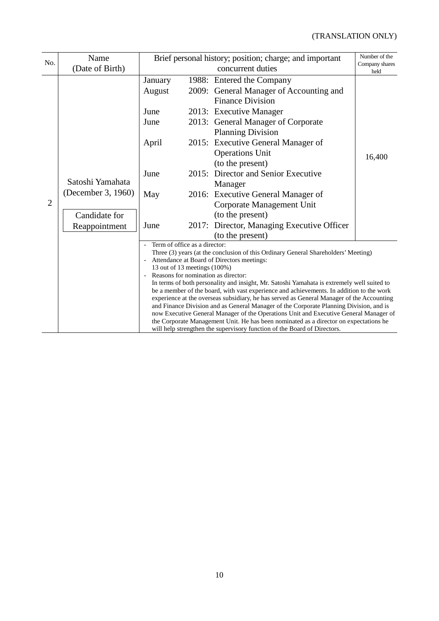| No.            | Name               | Brief personal history; position; charge; and important |                        |                                                                                                                                                                                | Number of the |
|----------------|--------------------|---------------------------------------------------------|------------------------|--------------------------------------------------------------------------------------------------------------------------------------------------------------------------------|---------------|
|                | (Date of Birth)    |                                                         | Company shares<br>held |                                                                                                                                                                                |               |
|                |                    | January                                                 |                        | 1988: Entered the Company                                                                                                                                                      |               |
|                |                    | August                                                  |                        | 2009: General Manager of Accounting and                                                                                                                                        |               |
|                |                    |                                                         |                        | <b>Finance Division</b>                                                                                                                                                        |               |
|                |                    | June                                                    |                        | 2013: Executive Manager                                                                                                                                                        |               |
|                |                    | June                                                    |                        | 2013: General Manager of Corporate                                                                                                                                             |               |
|                |                    |                                                         |                        | <b>Planning Division</b>                                                                                                                                                       |               |
|                |                    | April                                                   |                        | 2015: Executive General Manager of                                                                                                                                             |               |
|                |                    |                                                         |                        | <b>Operations Unit</b>                                                                                                                                                         | 16,400        |
|                |                    |                                                         |                        | (to the present)                                                                                                                                                               |               |
|                |                    | June                                                    | 2015:                  | Director and Senior Executive                                                                                                                                                  |               |
|                | Satoshi Yamahata   |                                                         |                        | Manager                                                                                                                                                                        |               |
|                | (December 3, 1960) | May                                                     |                        | 2016: Executive General Manager of                                                                                                                                             |               |
| $\overline{2}$ |                    |                                                         |                        | Corporate Management Unit                                                                                                                                                      |               |
|                | Candidate for      |                                                         |                        | (to the present)                                                                                                                                                               |               |
|                | Reappointment      | June                                                    |                        | 2017: Director, Managing Executive Officer                                                                                                                                     |               |
|                |                    |                                                         |                        | (to the present)                                                                                                                                                               |               |
|                |                    | Term of office as a director:                           |                        | Three (3) years (at the conclusion of this Ordinary General Shareholders' Meeting)                                                                                             |               |
|                |                    | $\overline{\phantom{a}}$                                |                        | Attendance at Board of Directors meetings:                                                                                                                                     |               |
|                |                    | 13 out of 13 meetings (100%)                            |                        |                                                                                                                                                                                |               |
|                |                    | $\overline{\phantom{0}}$                                |                        | Reasons for nomination as director:<br>In terms of both personality and insight, Mr. Satoshi Yamahata is extremely well suited to                                              |               |
|                |                    |                                                         |                        | be a member of the board, with vast experience and achievements. In addition to the work                                                                                       |               |
|                |                    |                                                         |                        | experience at the overseas subsidiary, he has served as General Manager of the Accounting                                                                                      |               |
|                |                    |                                                         |                        | and Finance Division and as General Manager of the Corporate Planning Division, and is                                                                                         |               |
|                |                    |                                                         |                        | now Executive General Manager of the Operations Unit and Executive General Manager of<br>the Corporate Management Unit. He has been nominated as a director on expectations he |               |
|                |                    |                                                         |                        | will help strengthen the supervisory function of the Board of Directors.                                                                                                       |               |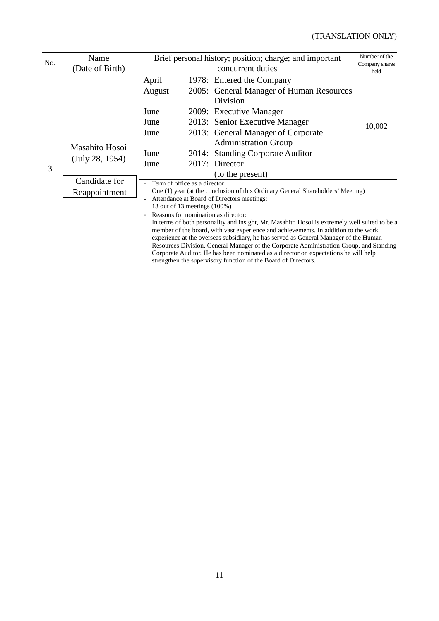| No. | Name            |                                                                                               | Brief personal history; position; charge; and important |                                                                                                                                                                             |                        |  |  |
|-----|-----------------|-----------------------------------------------------------------------------------------------|---------------------------------------------------------|-----------------------------------------------------------------------------------------------------------------------------------------------------------------------------|------------------------|--|--|
|     | (Date of Birth) |                                                                                               |                                                         | concurrent duties                                                                                                                                                           | Company shares<br>held |  |  |
|     |                 | April                                                                                         |                                                         | 1978: Entered the Company                                                                                                                                                   |                        |  |  |
|     |                 | August                                                                                        |                                                         | 2005: General Manager of Human Resources                                                                                                                                    |                        |  |  |
|     |                 |                                                                                               |                                                         | Division                                                                                                                                                                    |                        |  |  |
|     |                 | June                                                                                          |                                                         | 2009: Executive Manager                                                                                                                                                     |                        |  |  |
|     |                 | June                                                                                          |                                                         | 2013: Senior Executive Manager                                                                                                                                              | 10,002                 |  |  |
|     |                 | June                                                                                          |                                                         | 2013: General Manager of Corporate                                                                                                                                          |                        |  |  |
|     | Masahito Hosoi  |                                                                                               |                                                         | <b>Administration Group</b>                                                                                                                                                 |                        |  |  |
|     |                 | June                                                                                          |                                                         | 2014: Standing Corporate Auditor                                                                                                                                            |                        |  |  |
| 3   | (July 28, 1954) | June                                                                                          |                                                         | 2017: Director                                                                                                                                                              |                        |  |  |
|     |                 |                                                                                               |                                                         | (to the present)                                                                                                                                                            |                        |  |  |
|     | Candidate for   | Term of office as a director:<br>$\overline{a}$                                               |                                                         |                                                                                                                                                                             |                        |  |  |
|     | Reappointment   | One (1) year (at the conclusion of this Ordinary General Shareholders' Meeting)               |                                                         |                                                                                                                                                                             |                        |  |  |
|     |                 | Attendance at Board of Directors meetings:<br>13 out of 13 meetings (100%)                    |                                                         |                                                                                                                                                                             |                        |  |  |
|     |                 | Reasons for nomination as director:<br>$\overline{a}$                                         |                                                         |                                                                                                                                                                             |                        |  |  |
|     |                 | In terms of both personality and insight, Mr. Masahito Hosoi is extremely well suited to be a |                                                         |                                                                                                                                                                             |                        |  |  |
|     |                 |                                                                                               |                                                         | member of the board, with vast experience and achievements. In addition to the work<br>experience at the overseas subsidiary, he has served as General Manager of the Human |                        |  |  |
|     |                 |                                                                                               |                                                         | Resources Division, General Manager of the Corporate Administration Group, and Standing                                                                                     |                        |  |  |
|     |                 |                                                                                               |                                                         | Corporate Auditor. He has been nominated as a director on expectations he will help                                                                                         |                        |  |  |
|     |                 | strengthen the supervisory function of the Board of Directors.                                |                                                         |                                                                                                                                                                             |                        |  |  |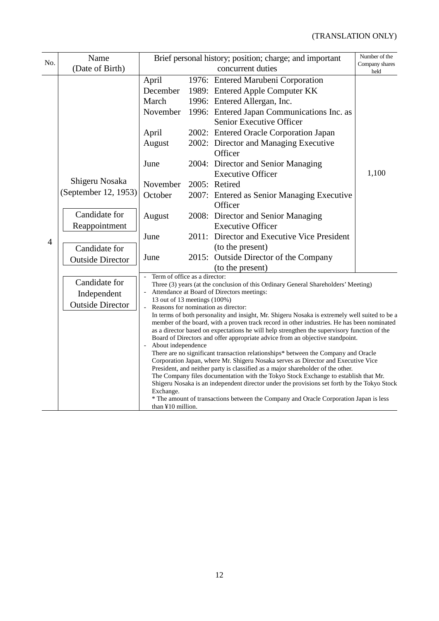| Brief personal history; position; charge; and important<br>Name |                                                                                                                      |                                                                                                                                                                                                                                                                                                                                                                                                                                                                                                                                                                                                                                                                                                                                              |                                                                                                                                                                                                                                                                                                                                                                                                                                                                                    | Number of the                                                                                                                                                                                                                                                                                                                                                                                                                                                                                                                                                                                                               |                        |
|-----------------------------------------------------------------|----------------------------------------------------------------------------------------------------------------------|----------------------------------------------------------------------------------------------------------------------------------------------------------------------------------------------------------------------------------------------------------------------------------------------------------------------------------------------------------------------------------------------------------------------------------------------------------------------------------------------------------------------------------------------------------------------------------------------------------------------------------------------------------------------------------------------------------------------------------------------|------------------------------------------------------------------------------------------------------------------------------------------------------------------------------------------------------------------------------------------------------------------------------------------------------------------------------------------------------------------------------------------------------------------------------------------------------------------------------------|-----------------------------------------------------------------------------------------------------------------------------------------------------------------------------------------------------------------------------------------------------------------------------------------------------------------------------------------------------------------------------------------------------------------------------------------------------------------------------------------------------------------------------------------------------------------------------------------------------------------------------|------------------------|
| No.                                                             | (Date of Birth)                                                                                                      |                                                                                                                                                                                                                                                                                                                                                                                                                                                                                                                                                                                                                                                                                                                                              |                                                                                                                                                                                                                                                                                                                                                                                                                                                                                    | concurrent duties                                                                                                                                                                                                                                                                                                                                                                                                                                                                                                                                                                                                           | Company shares<br>held |
| $\overline{4}$                                                  | Shigeru Nosaka<br>(September 12, 1953)<br>Candidate for<br>Reappointment<br>Candidate for<br><b>Outside Director</b> | April<br>December<br>March<br>November<br>April<br>August<br>June<br>November<br>October<br>August<br>June<br>June                                                                                                                                                                                                                                                                                                                                                                                                                                                                                                                                                                                                                           |                                                                                                                                                                                                                                                                                                                                                                                                                                                                                    | 1976: Entered Marubeni Corporation<br>1989: Entered Apple Computer KK<br>1996: Entered Allergan, Inc.<br>1996: Entered Japan Communications Inc. as<br>Senior Executive Officer<br>2002: Entered Oracle Corporation Japan<br>2002: Director and Managing Executive<br>Officer<br>2004: Director and Senior Managing<br><b>Executive Officer</b><br>2005: Retired<br>2007: Entered as Senior Managing Executive<br>Officer<br>2008: Director and Senior Managing<br><b>Executive Officer</b><br>2011: Director and Executive Vice President<br>(to the present)<br>2015: Outside Director of the Company<br>(to the present) | 1,100                  |
|                                                                 | Candidate for<br>Independent<br><b>Outside Director</b>                                                              | Term of office as a director:<br>Three (3) years (at the conclusion of this Ordinary General Shareholders' Meeting)<br>Attendance at Board of Directors meetings:<br>13 out of 13 meetings (100%)<br>Reasons for nomination as director:<br>Board of Directors and offer appropriate advice from an objective standpoint.<br>About independence<br>There are no significant transaction relationships* between the Company and Oracle<br>Corporation Japan, where Mr. Shigeru Nosaka serves as Director and Executive Vice<br>President, and neither party is classified as a major shareholder of the other.<br>The Company files documentation with the Tokyo Stock Exchange to establish that Mr.<br>Exchange.<br>than $\yen 10$ million. | In terms of both personality and insight, Mr. Shigeru Nosaka is extremely well suited to be a<br>member of the board, with a proven track record in other industries. He has been nominated<br>as a director based on expectations he will help strengthen the supervisory function of the<br>Shigeru Nosaka is an independent director under the provisions set forth by the Tokyo Stock<br>* The amount of transactions between the Company and Oracle Corporation Japan is less |                                                                                                                                                                                                                                                                                                                                                                                                                                                                                                                                                                                                                             |                        |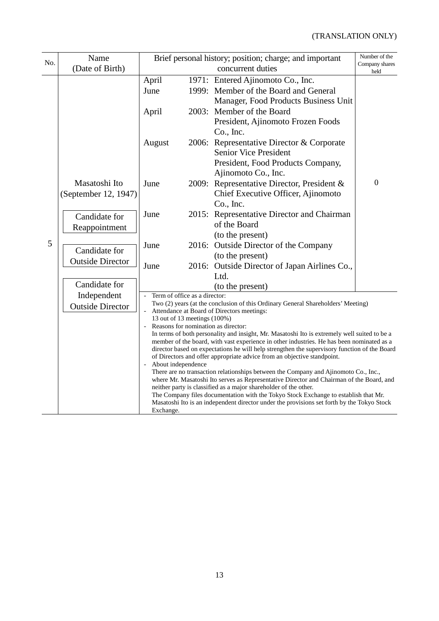| No. | Name                                   | Brief personal history; position; charge; and important                                                                                                                                                                                                                                                                                                                                                                                                                                                                                                                                                                                                |  | Number of the                                                                                                                  |                        |  |
|-----|----------------------------------------|--------------------------------------------------------------------------------------------------------------------------------------------------------------------------------------------------------------------------------------------------------------------------------------------------------------------------------------------------------------------------------------------------------------------------------------------------------------------------------------------------------------------------------------------------------------------------------------------------------------------------------------------------------|--|--------------------------------------------------------------------------------------------------------------------------------|------------------------|--|
|     | (Date of Birth)                        |                                                                                                                                                                                                                                                                                                                                                                                                                                                                                                                                                                                                                                                        |  | concurrent duties                                                                                                              | Company shares<br>held |  |
|     |                                        | April<br>June                                                                                                                                                                                                                                                                                                                                                                                                                                                                                                                                                                                                                                          |  | 1971: Entered Ajinomoto Co., Inc.<br>1999: Member of the Board and General<br>Manager, Food Products Business Unit             |                        |  |
|     |                                        | April                                                                                                                                                                                                                                                                                                                                                                                                                                                                                                                                                                                                                                                  |  | 2003: Member of the Board<br>President, Ajinomoto Frozen Foods<br>Co., Inc.                                                    |                        |  |
| 5   |                                        | August                                                                                                                                                                                                                                                                                                                                                                                                                                                                                                                                                                                                                                                 |  | 2006: Representative Director & Corporate<br>Senior Vice President<br>President, Food Products Company,<br>Ajinomoto Co., Inc. |                        |  |
|     | Masatoshi Ito<br>(September 12, 1947)  | June                                                                                                                                                                                                                                                                                                                                                                                                                                                                                                                                                                                                                                                   |  | 2009: Representative Director, President &<br>Chief Executive Officer, Ajinomoto<br>Co., Inc.                                  | $\mathbf{0}$           |  |
|     | Candidate for<br>Reappointment         | June                                                                                                                                                                                                                                                                                                                                                                                                                                                                                                                                                                                                                                                   |  | 2015: Representative Director and Chairman<br>of the Board<br>(to the present)                                                 |                        |  |
|     | Candidate for                          | June                                                                                                                                                                                                                                                                                                                                                                                                                                                                                                                                                                                                                                                   |  | 2016: Outside Director of the Company<br>(to the present)                                                                      |                        |  |
|     | <b>Outside Director</b>                | June                                                                                                                                                                                                                                                                                                                                                                                                                                                                                                                                                                                                                                                   |  | 2016: Outside Director of Japan Airlines Co.,<br>Ltd.                                                                          |                        |  |
|     | Candidate for                          |                                                                                                                                                                                                                                                                                                                                                                                                                                                                                                                                                                                                                                                        |  | (to the present)                                                                                                               |                        |  |
|     | Independent<br><b>Outside Director</b> | Term of office as a director:<br>$\frac{1}{2}$<br>Two (2) years (at the conclusion of this Ordinary General Shareholders' Meeting)<br>Attendance at Board of Directors meetings:<br>13 out of 13 meetings (100%)<br>Reasons for nomination as director:<br>In terms of both personality and insight, Mr. Masatoshi Ito is extremely well suited to be a<br>member of the board, with vast experience in other industries. He has been nominated as a                                                                                                                                                                                                   |  |                                                                                                                                |                        |  |
|     |                                        | director based on expectations he will help strengthen the supervisory function of the Board<br>of Directors and offer appropriate advice from an objective standpoint.<br>About independence<br>There are no transaction relationships between the Company and Ajinomoto Co., Inc.,<br>where Mr. Masatoshi Ito serves as Representative Director and Chairman of the Board, and<br>neither party is classified as a major shareholder of the other.<br>The Company files documentation with the Tokyo Stock Exchange to establish that Mr.<br>Masatoshi Ito is an independent director under the provisions set forth by the Tokyo Stock<br>Exchange. |  |                                                                                                                                |                        |  |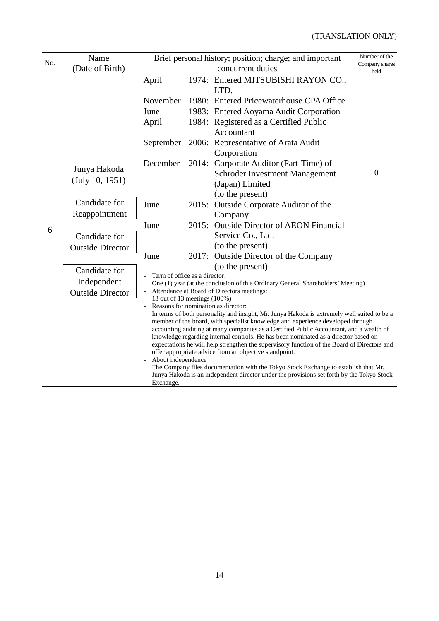| Name<br>No. |                                 | Brief personal history; position; charge; and important |       |                                                                                                                                                                                    | Number of the<br>Company shares |  |
|-------------|---------------------------------|---------------------------------------------------------|-------|------------------------------------------------------------------------------------------------------------------------------------------------------------------------------------|---------------------------------|--|
|             | (Date of Birth)                 |                                                         |       | concurrent duties                                                                                                                                                                  | held                            |  |
|             |                                 | April                                                   |       | 1974: Entered MITSUBISHI RAYON CO.,<br>LTD.                                                                                                                                        |                                 |  |
|             |                                 | November                                                |       | 1980: Entered Pricewaterhouse CPA Office                                                                                                                                           |                                 |  |
|             |                                 | June                                                    |       | 1983: Entered Aoyama Audit Corporation                                                                                                                                             |                                 |  |
|             |                                 | April                                                   |       | 1984: Registered as a Certified Public                                                                                                                                             |                                 |  |
|             |                                 |                                                         |       | Accountant                                                                                                                                                                         |                                 |  |
|             |                                 | September                                               |       | 2006: Representative of Arata Audit<br>Corporation                                                                                                                                 |                                 |  |
|             | Junya Hakoda<br>(July 10, 1951) | December                                                | 2014: | Corporate Auditor (Part-Time) of<br>Schroder Investment Management<br>(Japan) Limited<br>(to the present)                                                                          | $\overline{0}$                  |  |
|             | Candidate for                   | June                                                    |       | 2015: Outside Corporate Auditor of the                                                                                                                                             |                                 |  |
|             | Reappointment                   |                                                         |       | Company                                                                                                                                                                            |                                 |  |
|             |                                 | June                                                    |       | 2015: Outside Director of AEON Financial                                                                                                                                           |                                 |  |
| 6           | Candidate for                   |                                                         |       | Service Co., Ltd.                                                                                                                                                                  |                                 |  |
|             | <b>Outside Director</b>         |                                                         |       | (to the present)                                                                                                                                                                   |                                 |  |
|             |                                 | June                                                    |       | 2017: Outside Director of the Company                                                                                                                                              |                                 |  |
|             | Candidate for                   |                                                         |       | (to the present)                                                                                                                                                                   |                                 |  |
|             | Independent                     | Term of office as a director:                           |       |                                                                                                                                                                                    |                                 |  |
|             | <b>Outside Director</b>         |                                                         |       | One (1) year (at the conclusion of this Ordinary General Shareholders' Meeting)<br>Attendance at Board of Directors meetings:                                                      |                                 |  |
|             |                                 | 13 out of 13 meetings (100%)                            |       |                                                                                                                                                                                    |                                 |  |
|             |                                 |                                                         |       | Reasons for nomination as director:                                                                                                                                                |                                 |  |
|             |                                 |                                                         |       | In terms of both personality and insight, Mr. Junya Hakoda is extremely well suited to be a<br>member of the board, with specialist knowledge and experience developed through     |                                 |  |
|             |                                 |                                                         |       | accounting auditing at many companies as a Certified Public Accountant, and a wealth of                                                                                            |                                 |  |
|             |                                 |                                                         |       | knowledge regarding internal controls. He has been nominated as a director based on<br>expectations he will help strengthen the supervisory function of the Board of Directors and |                                 |  |
|             |                                 |                                                         |       | offer appropriate advice from an objective standpoint.                                                                                                                             |                                 |  |
|             |                                 | About independence                                      |       |                                                                                                                                                                                    |                                 |  |
|             |                                 |                                                         |       | The Company files documentation with the Tokyo Stock Exchange to establish that Mr.<br>Junya Hakoda is an independent director under the provisions set forth by the Tokyo Stock   |                                 |  |
| Exchange.   |                                 |                                                         |       |                                                                                                                                                                                    |                                 |  |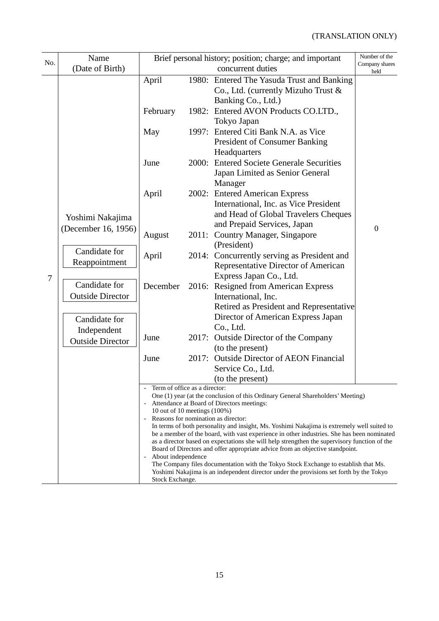| No. | Name<br>(Date of Birth)                                                   | Brief personal history; position; charge; and important<br>concurrent duties                                                                                                                                                                                                                                                                                                                                     |       | Number of the<br>Company shares<br>held                                                                                                        |                  |  |
|-----|---------------------------------------------------------------------------|------------------------------------------------------------------------------------------------------------------------------------------------------------------------------------------------------------------------------------------------------------------------------------------------------------------------------------------------------------------------------------------------------------------|-------|------------------------------------------------------------------------------------------------------------------------------------------------|------------------|--|
|     |                                                                           | April                                                                                                                                                                                                                                                                                                                                                                                                            |       | 1980: Entered The Yasuda Trust and Banking<br>Co., Ltd. (currently Mizuho Trust &<br>Banking Co., Ltd.)                                        |                  |  |
| 7   |                                                                           | February                                                                                                                                                                                                                                                                                                                                                                                                         |       | 1982: Entered AVON Products CO.LTD.,<br>Tokyo Japan                                                                                            |                  |  |
|     |                                                                           | May                                                                                                                                                                                                                                                                                                                                                                                                              |       | 1997: Entered Citi Bank N.A. as Vice<br><b>President of Consumer Banking</b><br>Headquarters                                                   |                  |  |
|     |                                                                           | June                                                                                                                                                                                                                                                                                                                                                                                                             |       | 2000: Entered Societe Generale Securities<br>Japan Limited as Senior General<br>Manager                                                        |                  |  |
|     | Yoshimi Nakajima<br>(December 16, 1956)<br>Candidate for<br>Reappointment | April                                                                                                                                                                                                                                                                                                                                                                                                            |       | 2002: Entered American Express<br>International, Inc. as Vice President<br>and Head of Global Travelers Cheques<br>and Prepaid Services, Japan |                  |  |
|     |                                                                           | August                                                                                                                                                                                                                                                                                                                                                                                                           | 2011: | <b>Country Manager, Singapore</b><br>(President)                                                                                               | $\boldsymbol{0}$ |  |
|     |                                                                           | April                                                                                                                                                                                                                                                                                                                                                                                                            |       | 2014: Concurrently serving as President and<br>Representative Director of American<br>Express Japan Co., Ltd.                                  |                  |  |
|     | Candidate for<br><b>Outside Director</b>                                  | December                                                                                                                                                                                                                                                                                                                                                                                                         |       | 2016: Resigned from American Express<br>International, Inc.<br>Retired as President and Representative                                         |                  |  |
|     | Candidate for<br>Independent<br><b>Outside Director</b>                   |                                                                                                                                                                                                                                                                                                                                                                                                                  |       | Director of American Express Japan<br>Co., Ltd.                                                                                                |                  |  |
|     |                                                                           | June                                                                                                                                                                                                                                                                                                                                                                                                             |       | 2017: Outside Director of the Company<br>(to the present)                                                                                      |                  |  |
|     |                                                                           | June                                                                                                                                                                                                                                                                                                                                                                                                             | 2017: | <b>Outside Director of AEON Financial</b><br>Service Co., Ltd.<br>(to the present)                                                             |                  |  |
|     |                                                                           | Term of office as a director:<br>One (1) year (at the conclusion of this Ordinary General Shareholders' Meeting)<br>Attendance at Board of Directors meetings:<br>10 out of 10 meetings (100%)                                                                                                                                                                                                                   |       |                                                                                                                                                |                  |  |
|     |                                                                           | Reasons for nomination as director:<br>In terms of both personality and insight, Ms. Yoshimi Nakajima is extremely well suited to<br>be a member of the board, with vast experience in other industries. She has been nominated<br>as a director based on expectations she will help strengthen the supervisory function of the<br>Board of Directors and offer appropriate advice from an objective standpoint. |       |                                                                                                                                                |                  |  |
|     |                                                                           | About independence<br>The Company files documentation with the Tokyo Stock Exchange to establish that Ms.<br>Yoshimi Nakajima is an independent director under the provisions set forth by the Tokyo<br>Stock Exchange.                                                                                                                                                                                          |       |                                                                                                                                                |                  |  |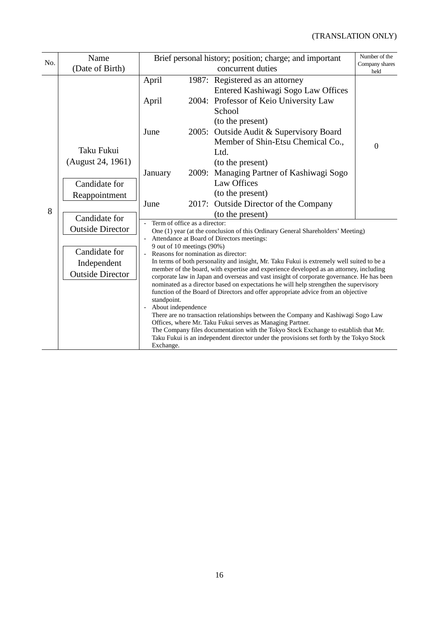| No. | Name                                                    | Brief personal history; position; charge; and important                                                                                                                                                                                                                                                                                                                                                                                                                                                                                                                                                                                                                                                                                                                                                                                                                                                                   |                                                                                                                                                                |                                                                                                                           | Number of the  |  |  |  |
|-----|---------------------------------------------------------|---------------------------------------------------------------------------------------------------------------------------------------------------------------------------------------------------------------------------------------------------------------------------------------------------------------------------------------------------------------------------------------------------------------------------------------------------------------------------------------------------------------------------------------------------------------------------------------------------------------------------------------------------------------------------------------------------------------------------------------------------------------------------------------------------------------------------------------------------------------------------------------------------------------------------|----------------------------------------------------------------------------------------------------------------------------------------------------------------|---------------------------------------------------------------------------------------------------------------------------|----------------|--|--|--|
|     | (Date of Birth)                                         |                                                                                                                                                                                                                                                                                                                                                                                                                                                                                                                                                                                                                                                                                                                                                                                                                                                                                                                           | Company shares<br>held                                                                                                                                         |                                                                                                                           |                |  |  |  |
| 8   |                                                         | April<br>April                                                                                                                                                                                                                                                                                                                                                                                                                                                                                                                                                                                                                                                                                                                                                                                                                                                                                                            |                                                                                                                                                                | 1987: Registered as an attorney<br>Entered Kashiwagi Sogo Law Offices<br>2004: Professor of Keio University Law<br>School |                |  |  |  |
|     | Taku Fukui                                              | June                                                                                                                                                                                                                                                                                                                                                                                                                                                                                                                                                                                                                                                                                                                                                                                                                                                                                                                      |                                                                                                                                                                | (to the present)<br>2005: Outside Audit & Supervisory Board<br>Member of Shin-Etsu Chemical Co.,<br>Ltd.                  | $\overline{0}$ |  |  |  |
|     | (August 24, 1961)<br>Candidate for<br>Reappointment     | January                                                                                                                                                                                                                                                                                                                                                                                                                                                                                                                                                                                                                                                                                                                                                                                                                                                                                                                   |                                                                                                                                                                | (to the present)<br>2009: Managing Partner of Kashiwagi Sogo<br>Law Offices<br>(to the present)                           |                |  |  |  |
|     | Candidate for                                           | June                                                                                                                                                                                                                                                                                                                                                                                                                                                                                                                                                                                                                                                                                                                                                                                                                                                                                                                      | 2017:                                                                                                                                                          | <b>Outside Director of the Company</b><br>(to the present)                                                                |                |  |  |  |
|     | <b>Outside Director</b>                                 |                                                                                                                                                                                                                                                                                                                                                                                                                                                                                                                                                                                                                                                                                                                                                                                                                                                                                                                           | Term of office as a director:<br>One (1) year (at the conclusion of this Ordinary General Shareholders' Meeting)<br>Attendance at Board of Directors meetings: |                                                                                                                           |                |  |  |  |
|     | Candidate for<br>Independent<br><b>Outside Director</b> | 9 out of 10 meetings (90%)<br>Reasons for nomination as director:<br>In terms of both personality and insight, Mr. Taku Fukui is extremely well suited to be a<br>member of the board, with expertise and experience developed as an attorney, including<br>corporate law in Japan and overseas and vast insight of corporate governance. He has been<br>nominated as a director based on expectations he will help strengthen the supervisory<br>function of the Board of Directors and offer appropriate advice from an objective<br>standpoint.<br>About independence<br>There are no transaction relationships between the Company and Kashiwagi Sogo Law<br>Offices, where Mr. Taku Fukui serves as Managing Partner.<br>The Company files documentation with the Tokyo Stock Exchange to establish that Mr.<br>Taku Fukui is an independent director under the provisions set forth by the Tokyo Stock<br>Exchange. |                                                                                                                                                                |                                                                                                                           |                |  |  |  |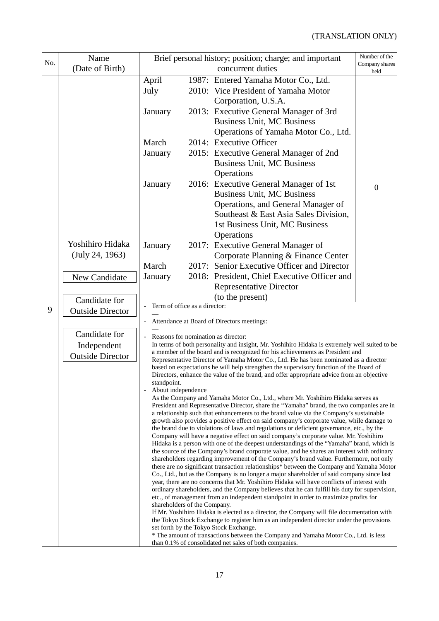|     | Name                    | Brief personal history; position; charge; and important                                                                                                                                     |  | Number of the                                                                                                                                                                       |                        |  |  |
|-----|-------------------------|---------------------------------------------------------------------------------------------------------------------------------------------------------------------------------------------|--|-------------------------------------------------------------------------------------------------------------------------------------------------------------------------------------|------------------------|--|--|
| No. | (Date of Birth)         |                                                                                                                                                                                             |  | concurrent duties                                                                                                                                                                   | Company shares<br>held |  |  |
|     |                         | April                                                                                                                                                                                       |  | 1987: Entered Yamaha Motor Co., Ltd.                                                                                                                                                |                        |  |  |
|     |                         | July                                                                                                                                                                                        |  | 2010: Vice President of Yamaha Motor                                                                                                                                                |                        |  |  |
|     |                         |                                                                                                                                                                                             |  | Corporation, U.S.A.                                                                                                                                                                 |                        |  |  |
|     |                         | January                                                                                                                                                                                     |  | 2013: Executive General Manager of 3rd                                                                                                                                              |                        |  |  |
|     |                         |                                                                                                                                                                                             |  | <b>Business Unit, MC Business</b>                                                                                                                                                   |                        |  |  |
|     |                         |                                                                                                                                                                                             |  | Operations of Yamaha Motor Co., Ltd.                                                                                                                                                |                        |  |  |
|     |                         | March                                                                                                                                                                                       |  | 2014: Executive Officer                                                                                                                                                             |                        |  |  |
|     |                         | January                                                                                                                                                                                     |  | 2015: Executive General Manager of 2nd                                                                                                                                              |                        |  |  |
|     |                         |                                                                                                                                                                                             |  | <b>Business Unit, MC Business</b><br>Operations                                                                                                                                     |                        |  |  |
|     |                         | January                                                                                                                                                                                     |  | 2016: Executive General Manager of 1st                                                                                                                                              |                        |  |  |
|     |                         |                                                                                                                                                                                             |  | <b>Business Unit, MC Business</b>                                                                                                                                                   | $\mathbf{0}$           |  |  |
|     |                         |                                                                                                                                                                                             |  | Operations, and General Manager of                                                                                                                                                  |                        |  |  |
|     |                         |                                                                                                                                                                                             |  | Southeast & East Asia Sales Division,                                                                                                                                               |                        |  |  |
|     |                         |                                                                                                                                                                                             |  | 1st Business Unit, MC Business                                                                                                                                                      |                        |  |  |
|     |                         |                                                                                                                                                                                             |  | Operations                                                                                                                                                                          |                        |  |  |
|     | Yoshihiro Hidaka        | January                                                                                                                                                                                     |  | 2017: Executive General Manager of                                                                                                                                                  |                        |  |  |
|     | (July 24, 1963)         |                                                                                                                                                                                             |  | Corporate Planning & Finance Center                                                                                                                                                 |                        |  |  |
|     |                         | March                                                                                                                                                                                       |  | 2017: Senior Executive Officer and Director                                                                                                                                         |                        |  |  |
|     | New Candidate           | January                                                                                                                                                                                     |  | 2018: President, Chief Executive Officer and<br><b>Representative Director</b>                                                                                                      |                        |  |  |
|     |                         |                                                                                                                                                                                             |  | (to the present)                                                                                                                                                                    |                        |  |  |
| 9   | Candidate for           | Term of office as a director:                                                                                                                                                               |  |                                                                                                                                                                                     |                        |  |  |
|     | <b>Outside Director</b> |                                                                                                                                                                                             |  | Attendance at Board of Directors meetings:                                                                                                                                          |                        |  |  |
|     | Candidate for           |                                                                                                                                                                                             |  |                                                                                                                                                                                     |                        |  |  |
|     | Independent             |                                                                                                                                                                                             |  | Reasons for nomination as director:<br>In terms of both personality and insight, Mr. Yoshihiro Hidaka is extremely well suited to be                                                |                        |  |  |
|     | <b>Outside Director</b> |                                                                                                                                                                                             |  | a member of the board and is recognized for his achievements as President and                                                                                                       |                        |  |  |
|     |                         |                                                                                                                                                                                             |  | Representative Director of Yamaha Motor Co., Ltd. He has been nominated as a director<br>based on expectations he will help strengthen the supervisory function of the Board of     |                        |  |  |
|     |                         |                                                                                                                                                                                             |  | Directors, enhance the value of the brand, and offer appropriate advice from an objective                                                                                           |                        |  |  |
|     |                         | standpoint.<br>About independence                                                                                                                                                           |  |                                                                                                                                                                                     |                        |  |  |
|     |                         |                                                                                                                                                                                             |  | As the Company and Yamaha Motor Co., Ltd., where Mr. Yoshihiro Hidaka serves as                                                                                                     |                        |  |  |
|     |                         |                                                                                                                                                                                             |  | President and Representative Director, share the "Yamaha" brand, the two companies are in<br>a relationship such that enhancements to the brand value via the Company's sustainable |                        |  |  |
|     |                         |                                                                                                                                                                                             |  | growth also provides a positive effect on said company's corporate value, while damage to                                                                                           |                        |  |  |
|     |                         |                                                                                                                                                                                             |  | the brand due to violations of laws and regulations or deficient governance, etc., by the<br>Company will have a negative effect on said company's corporate value. Mr. Yoshihiro   |                        |  |  |
|     |                         |                                                                                                                                                                                             |  | Hidaka is a person with one of the deepest understandings of the "Yamaha" brand, which is                                                                                           |                        |  |  |
|     |                         |                                                                                                                                                                                             |  | the source of the Company's brand corporate value, and he shares an interest with ordinary                                                                                          |                        |  |  |
|     |                         | shareholders regarding improvement of the Company's brand value. Furthermore, not only<br>there are no significant transaction relationships* between the Company and Yamaha Motor          |  |                                                                                                                                                                                     |                        |  |  |
|     |                         | Co., Ltd., but as the Company is no longer a major shareholder of said company since last                                                                                                   |  |                                                                                                                                                                                     |                        |  |  |
|     |                         | year, there are no concerns that Mr. Yoshihiro Hidaka will have conflicts of interest with<br>ordinary shareholders, and the Company believes that he can fulfill his duty for supervision, |  |                                                                                                                                                                                     |                        |  |  |
|     |                         | etc., of management from an independent standpoint in order to maximize profits for                                                                                                         |  |                                                                                                                                                                                     |                        |  |  |
|     |                         | shareholders of the Company.<br>If Mr. Yoshihiro Hidaka is elected as a director, the Company will file documentation with                                                                  |  |                                                                                                                                                                                     |                        |  |  |
|     |                         |                                                                                                                                                                                             |  | the Tokyo Stock Exchange to register him as an independent director under the provisions                                                                                            |                        |  |  |
|     |                         |                                                                                                                                                                                             |  | set forth by the Tokyo Stock Exchange.<br>* The amount of transactions between the Company and Yamaha Motor Co., Ltd. is less                                                       |                        |  |  |
|     |                         |                                                                                                                                                                                             |  | than 0.1% of consolidated net sales of both companies.                                                                                                                              |                        |  |  |

17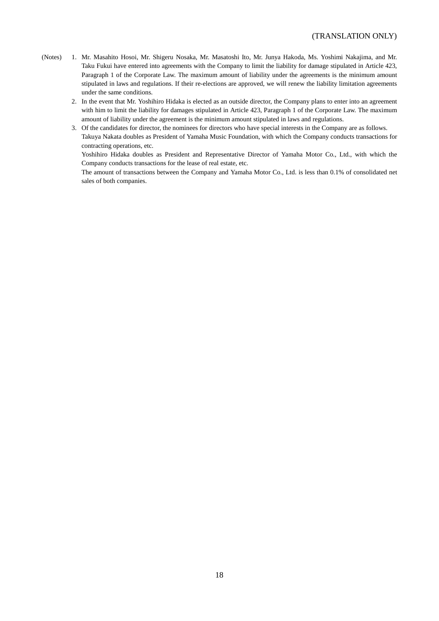#### (TRANSLATION ONLY)

- (Notes) 1. Mr. Masahito Hosoi, Mr. Shigeru Nosaka, Mr. Masatoshi Ito, Mr. Junya Hakoda, Ms. Yoshimi Nakajima, and Mr. Taku Fukui have entered into agreements with the Company to limit the liability for damage stipulated in Article 423, Paragraph 1 of the Corporate Law. The maximum amount of liability under the agreements is the minimum amount stipulated in laws and regulations. If their re-elections are approved, we will renew the liability limitation agreements under the same conditions.
	- 2. In the event that Mr. Yoshihiro Hidaka is elected as an outside director, the Company plans to enter into an agreement with him to limit the liability for damages stipulated in Article 423, Paragraph 1 of the Corporate Law. The maximum amount of liability under the agreement is the minimum amount stipulated in laws and regulations.
	- 3. Of the candidates for director, the nominees for directors who have special interests in the Company are as follows.
	- Takuya Nakata doubles as President of Yamaha Music Foundation, with which the Company conducts transactions for contracting operations, etc.

Yoshihiro Hidaka doubles as President and Representative Director of Yamaha Motor Co., Ltd., with which the Company conducts transactions for the lease of real estate, etc.

The amount of transactions between the Company and Yamaha Motor Co., Ltd. is less than 0.1% of consolidated net sales of both companies.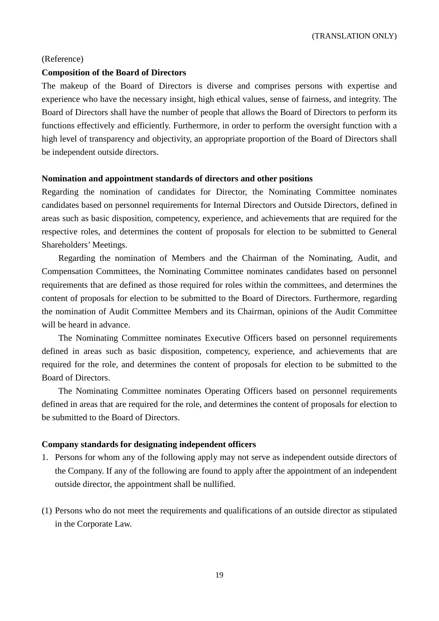(TRANSLATION ONLY)

#### (Reference)

#### **Composition of the Board of Directors**

The makeup of the Board of Directors is diverse and comprises persons with expertise and experience who have the necessary insight, high ethical values, sense of fairness, and integrity. The Board of Directors shall have the number of people that allows the Board of Directors to perform its functions effectively and efficiently. Furthermore, in order to perform the oversight function with a high level of transparency and objectivity, an appropriate proportion of the Board of Directors shall be independent outside directors.

#### **Nomination and appointment standards of directors and other positions**

Regarding the nomination of candidates for Director, the Nominating Committee nominates candidates based on personnel requirements for Internal Directors and Outside Directors, defined in areas such as basic disposition, competency, experience, and achievements that are required for the respective roles, and determines the content of proposals for election to be submitted to General Shareholders' Meetings.

Regarding the nomination of Members and the Chairman of the Nominating, Audit, and Compensation Committees, the Nominating Committee nominates candidates based on personnel requirements that are defined as those required for roles within the committees, and determines the content of proposals for election to be submitted to the Board of Directors. Furthermore, regarding the nomination of Audit Committee Members and its Chairman, opinions of the Audit Committee will be heard in advance.

The Nominating Committee nominates Executive Officers based on personnel requirements defined in areas such as basic disposition, competency, experience, and achievements that are required for the role, and determines the content of proposals for election to be submitted to the Board of Directors.

The Nominating Committee nominates Operating Officers based on personnel requirements defined in areas that are required for the role, and determines the content of proposals for election to be submitted to the Board of Directors.

#### **Company standards for designating independent officers**

- 1. Persons for whom any of the following apply may not serve as independent outside directors of the Company. If any of the following are found to apply after the appointment of an independent outside director, the appointment shall be nullified.
- (1) Persons who do not meet the requirements and qualifications of an outside director as stipulated in the Corporate Law.